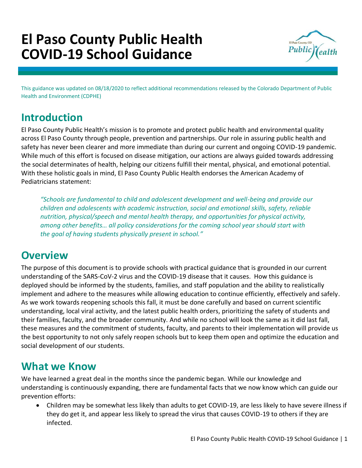# **El Paso County Public Health COVID-19 School Guidance**



This guidance was updated on 08/18/2020 to reflect additional recommendations released by the Colorado Department of Public Health and Environment (CDPHE)

## **Introduction**

El Paso County Public Health's mission is to promote and protect public health and environmental quality across El Paso County through people, prevention and partnerships. Our role in assuring public health and safety has never been clearer and more immediate than during our current and ongoing COVID-19 pandemic. While much of this effort is focused on disease mitigation, our actions are always guided towards addressing the social determinates of health, helping our citizens fulfill their mental, physical, and emotional potential. With these holistic goals in mind, El Paso County Public Health endorses the American Academy of Pediatricians statement:

*"Schools are fundamental to child and adolescent development and well-being and provide our children and adolescents with academic instruction, social and emotional skills, safety, reliable nutrition, physical/speech and mental health therapy, and opportunities for physical activity, among other benefits… all policy considerations for the coming school year should start with the goal of having students physically present in school."*

### **Overview**

The purpose of this document is to provide schools with practical guidance that is grounded in our current understanding of the SARS-CoV-2 virus and the COVID-19 disease that it causes. How this guidance is deployed should be informed by the students, families, and staff population and the ability to realistically implement and adhere to the measures while allowing education to continue efficiently, effectively and safely. As we work towards reopening schools this fall, it must be done carefully and based on current scientific understanding, local viral activity, and the latest public health orders, prioritizing the safety of students and their families, faculty, and the broader community. And while no school will look the same as it did last fall, these measures and the commitment of students, faculty, and parents to their implementation will provide us the best opportunity to not only safely reopen schools but to keep them open and optimize the education and social development of our students.

### **What we Know**

We have learned a great deal in the months since the pandemic began. While our knowledge and understanding is continuously expanding, there are fundamental facts that we now know which can guide our prevention efforts:

• Children may be somewhat less likely than adults to get COVID-19, are less likely to have severe illness if they do get it, and appear less likely to spread the virus that causes COVID-19 to others if they are infected.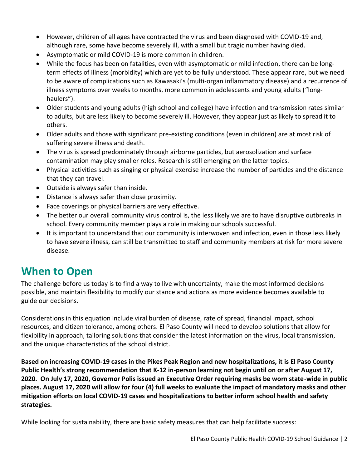- However, children of all ages have contracted the virus and been diagnosed with COVID-19 and, although rare, some have become severely ill, with a small but tragic number having died.
- Asymptomatic or mild COVID-19 is more common in children.
- While the focus has been on fatalities, even with asymptomatic or mild infection, there can be longterm effects of illness (morbidity) which are yet to be fully understood. These appear rare, but we need to be aware of complications such as Kawasaki's (multi-organ inflammatory disease) and a recurrence of illness symptoms over weeks to months, more common in adolescents and young adults ("longhaulers").
- Older students and young adults (high school and college) have infection and transmission rates similar to adults, but are less likely to become severely ill. However, they appear just as likely to spread it to others.
- Older adults and those with significant pre-existing conditions (even in children) are at most risk of suffering severe illness and death.
- The virus is spread predominately through airborne particles, but aerosolization and surface contamination may play smaller roles. Research is still emerging on the latter topics.
- Physical activities such as singing or physical exercise increase the number of particles and the distance that they can travel.
- Outside is always safer than inside.
- Distance is always safer than close proximity.
- Face coverings or physical barriers are very effective.
- The better our overall community virus control is, the less likely we are to have disruptive outbreaks in school. Every community member plays a role in making our schools successful.
- It is important to understand that our community is interwoven and infection, even in those less likely to have severe illness, can still be transmitted to staff and community members at risk for more severe disease.

### **When to Open**

The challenge before us today is to find a way to live with uncertainty, make the most informed decisions possible, and maintain flexibility to modify our stance and actions as more evidence becomes available to guide our decisions.

Considerations in this equation include viral burden of disease, rate of spread, financial impact, school resources, and citizen tolerance, among others. El Paso County will need to develop solutions that allow for flexibility in approach, tailoring solutions that consider the latest information on the virus, local transmission, and the unique characteristics of the school district.

**Based on increasing COVID-19 cases in the Pikes Peak Region and new hospitalizations, it is El Paso County Public Health's strong recommendation that K-12 in-person learning not begin until on or after August 17, 2020. On July 17, 2020, Governor Polis issued an Executive Order requiring masks be worn state-wide in public places. August 17, 2020 will allow for four (4) full weeks to evaluate the impact of mandatory masks and other mitigation efforts on local COVID-19 cases and hospitalizations to better inform school health and safety strategies.** 

While looking for sustainability, there are basic safety measures that can help facilitate success: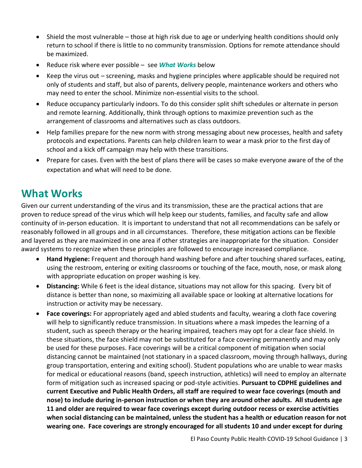- Shield the most vulnerable those at high risk due to age or underlying health conditions should only return to school if there is little to no community transmission. Options for remote attendance should be maximized.
- Reduce risk where ever possible see *What Works* below
- Keep the virus out screening, masks and hygiene principles where applicable should be required not only of students and staff, but also of parents, delivery people, maintenance workers and others who may need to enter the school. Minimize non-essential visits to the school.
- Reduce occupancy particularly indoors. To do this consider split shift schedules or alternate in person and remote learning. Additionally, think through options to maximize prevention such as the arrangement of classrooms and alternatives such as class outdoors.
- Help families prepare for the new norm with strong messaging about new processes, health and safety protocols and expectations. Parents can help children learn to wear a mask prior to the first day of school and a kick off campaign may help with these transitions.
- Prepare for cases. Even with the best of plans there will be cases so make everyone aware of the of the expectation and what will need to be done.

### **What Works**

Given our current understanding of the virus and its transmission, these are the practical actions that are proven to reduce spread of the virus which will help keep our students, families, and faculty safe and allow continuity of in-person education. It is important to understand that not all recommendations can be safely or reasonably followed in all groups and in all circumstances. Therefore, these mitigation actions can be flexible and layered as they are maximized in one area if other strategies are inappropriate for the situation. Consider award systems to recognize when these principles are followed to encourage increased compliance.

- **Hand Hygiene:** Frequent and thorough hand washing before and after touching shared surfaces, eating, using the restroom, entering or exiting classrooms or touching of the face, mouth, nose, or mask along with appropriate education on proper washing is key.
- **Distancing:** While 6 feet is the ideal distance, situations may not allow for this spacing. Every bit of distance is better than none, so maximizing all available space or looking at alternative locations for instruction or activity may be necessary.
- **Face coverings:** For appropriately aged and abled students and faculty, wearing a cloth face covering will help to significantly reduce transmission. In situations where a mask impedes the learning of a student, such as speech therapy or the hearing impaired, teachers may opt for a clear face shield. In these situations, the face shield may not be substituted for a face covering permanently and may only be used for these purposes. Face coverings will be a critical component of mitigation when social distancing cannot be maintained (not stationary in a spaced classroom, moving through hallways, during group transportation, entering and exiting school). Student populations who are unable to wear masks for medical or educational reasons (band, speech instruction, athletics) will need to employ an alternate form of mitigation such as increased spacing or pod-style activities. **Pursuant to CDPHE guidelines and current Executive and Public Health Orders, all staff are required to wear face coverings (mouth and nose) to include during in-person instruction or when they are around other adults. All students age 11 and older are required to wear face coverings except during outdoor recess or exercise activities when social distancing can be maintained, unless the student has a health or education reason for not wearing one. Face coverings are strongly encouraged for all students 10 and under except for during**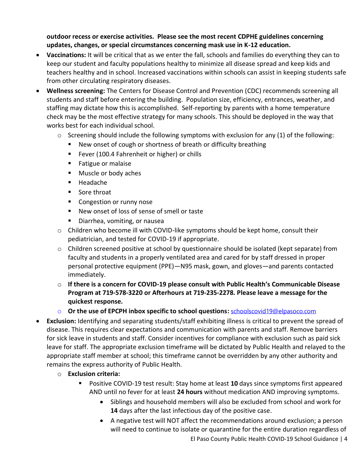**outdoor recess or exercise activities. Please see the most recent CDPHE guidelines concerning updates, changes, or special circumstances concerning mask use in K-12 education.**

- **Vaccinations:** It will be critical that as we enter the fall, schools and families do everything they can to keep our student and faculty populations healthy to minimize all disease spread and keep kids and teachers healthy and in school. Increased vaccinations within schools can assist in keeping students safe from other circulating respiratory diseases.
- **Wellness screening:** The Centers for Disease Control and Prevention (CDC) recommends screening all students and staff before entering the building. Population size, efficiency, entrances, weather, and staffing may dictate how this is accomplished. Self-reporting by parents with a home temperature check may be the most effective strategy for many schools. This should be deployed in the way that works best for each individual school.
	- $\circ$  Screening should include the following symptoms with exclusion for any (1) of the following:
		- New onset of cough or shortness of breath or difficulty breathing
		- Fever (100.4 Fahrenheit or higher) or chills
		- Fatigue or malaise
		- Muscle or body aches
		- Headache
		- Sore throat
		- Congestion or runny nose
		- New onset of loss of sense of smell or taste
		- Diarrhea, vomiting, or nausea
	- o Children who become ill with COVID-like symptoms should be kept home, consult their pediatrician, and tested for COVID-19 if appropriate.
	- o Children screened positive at school by questionnaire should be isolated (kept separate) from faculty and students in a properly ventilated area and cared for by staff dressed in proper personal protective equipment (PPE)—N95 mask, gown, and gloves—and parents contacted immediately.
	- o **If there is a concern for COVID-19 please consult with Public Health's Communicable Disease Program at 719-578-3220 or Afterhours at 719-235-2278. Please leave a message for the quickest response.**
	- o **Or the use of EPCPH inbox specific to school questions:** [schoolscovid19@elpasoco.com](mailto:schoolscovid19@elpasoco.com)
- **Exclusion:** Identifying and separating students/staff exhibiting illness is critical to prevent the spread of disease. This requires clear expectations and communication with parents and staff. Remove barriers for sick leave in students and staff. Consider incentives for compliance with exclusion such as paid sick leave for staff. The appropriate exclusion timeframe will be dictated by Public Health and relayed to the appropriate staff member at school; this timeframe cannot be overridden by any other authority and remains the express authority of Public Health.
	- o **Exclusion criteria:**
		- Positive COVID-19 test result: Stay home at least 10 days since symptoms first appeared AND until no fever for at least **24 hours** without medication AND improving symptoms.
			- Siblings and household members will also be excluded from school and work for **14** days after the last infectious day of the positive case.
			- El Paso County Public Health COVID-19 School Guidance | 4 • A negative test will NOT affect the recommendations around exclusion; a person will need to continue to isolate or quarantine for the entire duration regardless of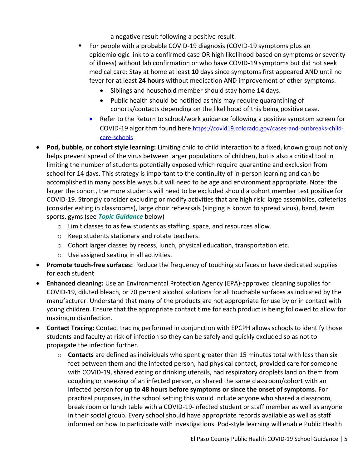a negative result following a positive result.

- For people with a probable COVID-19 diagnosis (COVID-19 symptoms plus an epidemiologic link to a confirmed case OR high likelihood based on symptoms or severity of illness) without lab confirmation or who have COVID-19 symptoms but did not seek medical care: Stay at home at least **10** days since symptoms first appeared AND until no fever for at least **24 hours** without medication AND improvement of other symptoms.
	- Siblings and household member should stay home **14** days.
	- Public health should be notified as this may require quarantining of cohorts/contacts depending on the likelihood of this being positive case.
	- Refer to the Return to school/work guidance following a positive symptom screen for COVID-19 algorithm found here [https://covid19.colorado.gov/cases-and-outbreaks-child](https://covid19.colorado.gov/cases-and-outbreaks-child-care-schools)[care-schools](https://covid19.colorado.gov/cases-and-outbreaks-child-care-schools)
- **Pod, bubble, or cohort style learning:** Limiting child to child interaction to a fixed, known group not only helps prevent spread of the virus between larger populations of children, but is also a critical tool in limiting the number of students potentially exposed which require quarantine and exclusion from school for 14 days. This strategy is important to the continuity of in-person learning and can be accomplished in many possible ways but will need to be age and environment appropriate. Note: the larger the cohort, the more students will need to be excluded should a cohort member test positive for COVID-19. Strongly consider excluding or modify activities that are high risk: large assemblies, cafeterias (consider eating in classrooms), large choir rehearsals (singing is known to spread virus), band, team sports, gyms (see *Topic Guidance* below)
	- o Limit classes to as few students as staffing, space, and resources allow.
	- o Keep students stationary and rotate teachers.
	- o Cohort larger classes by recess, lunch, physical education, transportation etc.
	- o Use assigned seating in all activities.
- **Promote touch-free surfaces:** Reduce the frequency of touching surfaces or have dedicated supplies for each student
- **Enhanced cleaning:** Use an Environmental Protection Agency (EPA)-approved cleaning supplies for COVID-19, diluted bleach, or 70 percent alcohol solutions for all touchable surfaces as indicated by the manufacturer. Understand that many of the products are not appropriate for use by or in contact with young children. Ensure that the appropriate contact time for each product is being followed to allow for maximum disinfection.
- **Contact Tracing:** Contact tracing performed in conjunction with EPCPH allows schools to identify those students and faculty at risk of infection so they can be safely and quickly excluded so as not to propagate the infection further.
	- o **Contacts** are defined as individuals who spent greater than 15 minutes total with less than six feet between them and the infected person, had physical contact, provided care for someone with COVID-19, shared eating or drinking utensils, had respiratory droplets land on them from coughing or sneezing of an infected person, or shared the same classroom/cohort with an infected person for **up to 48 hours before symptoms or since the onset of symptoms.** For practical purposes, in the school setting this would include anyone who shared a classroom, break room or lunch table with a COVID-19-infected student or staff member as well as anyone in their social group. Every school should have appropriate records available as well as staff informed on how to participate with investigations. Pod-style learning will enable Public Health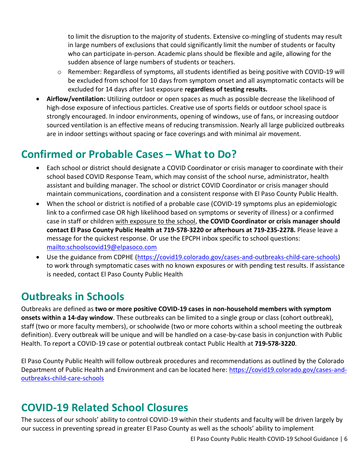to limit the disruption to the majority of students. Extensive co-mingling of students may result in large numbers of exclusions that could significantly limit the number of students or faculty who can participate in-person. Academic plans should be flexible and agile, allowing for the sudden absence of large numbers of students or teachers.

- $\circ$  Remember: Regardless of symptoms, all students identified as being positive with COVID-19 will be excluded from school for 10 days from symptom onset and all asymptomatic contacts will be excluded for 14 days after last exposure **regardless of testing results.**
- **Airflow/ventilation:** Utilizing outdoor or open spaces as much as possible decrease the likelihood of high-dose exposure of infectious particles. Creative use of sports fields or outdoor school space is strongly encouraged. In indoor environments, opening of windows, use of fans, or increasing outdoor sourced ventilation is an effective means of reducing transmission. Nearly all large publicized outbreaks are in indoor settings without spacing or face coverings and with minimal air movement.

### **Confirmed or Probable Cases – What to Do?**

- Each school or district should designate a COVID Coordinator or crisis manager to coordinate with their school based COVID Response Team, which may consist of the school nurse, administrator, health assistant and building manager. The school or district COVID Coordinator or crisis manager should maintain communications, coordination and a consistent response with El Paso County Public Health.
- When the school or district is notified of a probable case (COVID-19 symptoms plus an epidemiologic link to a confirmed case OR high likelihood based on symptoms or severity of illness) or a confirmed case in staff or children with exposure to the school, **the COVID Coordinator or crisis manager should contact El Paso County Public Health at 719-578-3220 or afterhours at 719-235-2278.** Please leave a message for the quickest response. Or use the EPCPH inbox specific to school questions: <mailto:schoolscovid19@elpasoco.com>
- Use the guidance from CDPHE [\(https://covid19.colorado.gov/cases-and-outbreaks-child-care-schools\)](https://covid19.colorado.gov/cases-and-outbreaks-child-care-schools) to work through symptomatic cases with no known exposures or with pending test results. If assistance is needed, contact El Paso County Public Health

# **Outbreaks in Schools**

Outbreaks are defined as **two or more positive COVID-19 cases in non-household members with symptom onsets within a 14-day window**. These outbreaks can be limited to a single group or class (cohort outbreak), staff (two or more faculty members), or schoolwide (two or more cohorts within a school meeting the outbreak definition). Every outbreak will be unique and will be handled on a case-by-case basis in conjunction with Public Health. To report a COVID-19 case or potential outbreak contact Public Health at **719-578-3220**.

El Paso County Public Health will follow outbreak procedures and recommendations as outlined by the Colorado Department of Public Health and Environment and can be located here: [https://covid19.colorado.gov/cases-and](https://covid19.colorado.gov/cases-and-outbreaks-child-care-schools)[outbreaks-child-care-schools](https://covid19.colorado.gov/cases-and-outbreaks-child-care-schools)

# **COVID-19 Related School Closures**

The success of our schools' ability to control COVID-19 within their students and faculty will be driven largely by our success in preventing spread in greater El Paso County as well as the schools' ability to implement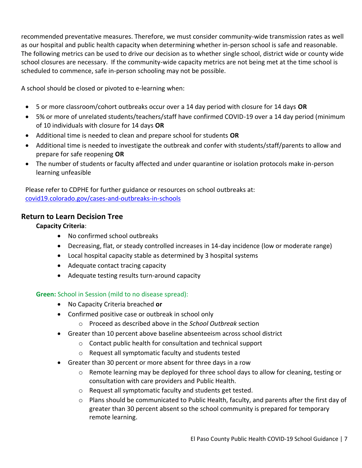recommended preventative measures. Therefore, we must consider community-wide transmission rates as well as our hospital and public health capacity when determining whether in-person school is safe and reasonable. The following metrics can be used to drive our decision as to whether single school, district wide or county wide school closures are necessary. If the community-wide capacity metrics are not being met at the time school is scheduled to commence, safe in-person schooling may not be possible.

A school should be closed or pivoted to e-learning when:

- 5 or more classroom/cohort outbreaks occur over a 14 day period with closure for 14 days **OR**
- 5% or more of unrelated students/teachers/staff have confirmed COVID-19 over a 14 day period (minimum of 10 individuals with closure for 14 days **OR**
- Additional time is needed to clean and prepare school for students **OR**
- Additional time is needed to investigate the outbreak and confer with students/staff/parents to allow and prepare for safe reopening **OR**
- The number of students or faculty affected and under quarantine or isolation protocols make in-person learning unfeasible

Please refer to CDPHE for further guidance or resources on school outbreaks at: [covid19.colorado.gov/cases-and-outbreaks-in-schools](https://covid19.colorado.gov/cases-and-outbreaks-in-schools#DefiningCOVID)

#### **Return to Learn Decision Tree**

#### **Capacity Criteria**:

- No confirmed school outbreaks
- Decreasing, flat, or steady controlled increases in 14-day incidence (low or moderate range)
- Local hospital capacity stable as determined by 3 hospital systems
- Adequate contact tracing capacity
- Adequate testing results turn-around capacity

#### **Green:** School in Session (mild to no disease spread):

- No Capacity Criteria breached **or**
- Confirmed positive case or outbreak in school only
	- o Proceed as described above in the *School Outbreak* section
- Greater than 10 percent above baseline absenteeism across school district
	- o Contact public health for consultation and technical support
	- o Request all symptomatic faculty and students tested
- Greater than 30 percent or more absent for three days in a row
	- $\circ$  Remote learning may be deployed for three school days to allow for cleaning, testing or consultation with care providers and Public Health.
	- o Request all symptomatic faculty and students get tested.
	- o Plans should be communicated to Public Health, faculty, and parents after the first day of greater than 30 percent absent so the school community is prepared for temporary remote learning.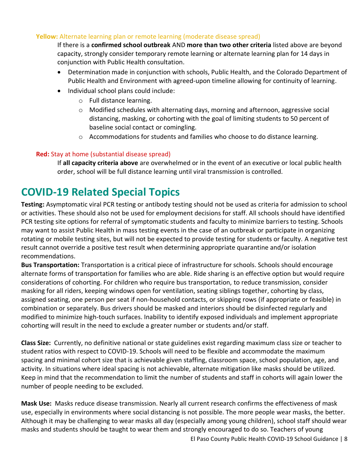#### **Yellow:** Alternate learning plan or remote learning (moderate disease spread)

If there is a **confirmed school outbreak** AND **more than two other criteria** listed above are beyond capacity, strongly consider temporary remote learning or alternate learning plan for 14 days in conjunction with Public Health consultation.

- Determination made in conjunction with schools, Public Health, and the Colorado Department of Public Health and Environment with agreed-upon timeline allowing for continuity of learning.
- Individual school plans could include:
	- o Full distance learning.
	- o Modified schedules with alternating days, morning and afternoon, aggressive social distancing, masking, or cohorting with the goal of limiting students to 50 percent of baseline social contact or comingling.
	- $\circ$  Accommodations for students and families who choose to do distance learning.

#### **Red:** Stay at home (substantial disease spread)

If **all capacity criteria above** are overwhelmed or in the event of an executive or local public health order, school will be full distance learning until viral transmission is controlled.

### **COVID-19 Related Special Topics**

**Testing:** Asymptomatic viral PCR testing or antibody testing should not be used as criteria for admission to school or activities. These should also not be used for employment decisions for staff. All schools should have identified PCR testing site options for referral of symptomatic students and faculty to minimize barriers to testing. Schools may want to assist Public Health in mass testing events in the case of an outbreak or participate in organizing rotating or mobile testing sites, but will not be expected to provide testing for students or faculty. A negative test result cannot override a positive test result when determining appropriate quarantine and/or isolation recommendations.

**Bus Transportation:** Transportation is a critical piece of infrastructure for schools. Schools should encourage alternate forms of transportation for families who are able. Ride sharing is an effective option but would require considerations of cohorting. For children who require bus transportation, to reduce transmission, consider masking for all riders, keeping windows open for ventilation, seating siblings together, cohorting by class, assigned seating, one person per seat if non-household contacts, or skipping rows (if appropriate or feasible) in combination or separately. Bus drivers should be masked and interiors should be disinfected regularly and modified to minimize high-touch surfaces. Inability to identify exposed individuals and implement appropriate cohorting will result in the need to exclude a greater number or students and/or staff.

**Class Size:** Currently, no definitive national or state guidelines exist regarding maximum class size or teacher to student ratios with respect to COVID-19. Schools will need to be flexible and accommodate the maximum spacing and minimal cohort size that is achievable given staffing, classroom space, school population, age, and activity. In situations where ideal spacing is not achievable, alternate mitigation like masks should be utilized. Keep in mind that the recommendation to limit the number of students and staff in cohorts will again lower the number of people needing to be excluded.

**Mask Use:** Masks reduce disease transmission. Nearly all current research confirms the effectiveness of mask use, especially in environments where social distancing is not possible. The more people wear masks, the better. Although it may be challenging to wear masks all day (especially among young children), school staff should wear masks and students should be taught to wear them and strongly encouraged to do so. Teachers of young

El Paso County Public Health COVID-19 School Guidance | 8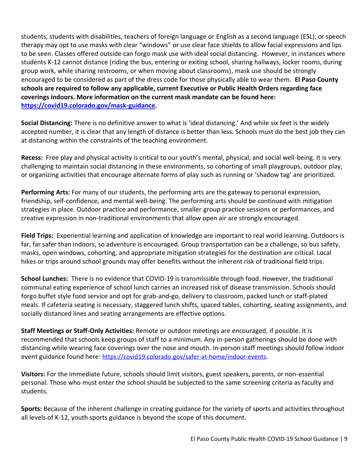students, students with disabilities, teachers of foreign language or English as a second language (ESL), or speech therapy may opt to use masks with clear "windows" or use clear face shields to allow facial expressions and lips to be seen. Classes offered outside can forgo mask use with ideal social distancing. However, in instances where students K-12 cannot distance (riding the bus, entering or exiting school, sharing hallways, locker rooms, during group work, while sharing restrooms, or when moving about classrooms), mask use should be strongly encouraged to be considered as part of the dress code for those physically able to wear them. **El Paso County schools are required to follow any applicable, current Executive or Public Health Orders regarding face coverings indoors. More information on the current mask mandate can be found here: [https://covid19.colorado.gov/mask-guidance.](https://covid19.colorado.gov/mask-guidance)** 

**Social Distancing:** There is no definitive answer to what is 'ideal distancing.' And while six feet is the widely accepted number, it is clear that any length of distance is better than less. Schools must do the best job they can at distancing within the constraints of the teaching environment.

**Recess:** Free play and physical activity is critical to our youth's mental, physical, and social well-being. It is very challenging to maintain social distancing in these environments, so cohorting of small playgroups, outdoor play, or organizing activities that encourage alternate forms of play such as running or 'shadow tag' are prioritized.

**Performing Arts:** For many of our students, the performing arts are the gateway to personal expression, friendship, self-confidence, and mental well-being. The performing arts should be continued with mitigation strategies in place. Outdoor practice and performance, smaller group practice sessions or performances, and creative expression in non-traditional environments that allow open air are strongly encouraged.

**Field Trips:** Experiential learning and application of knowledge are important to real world learning. Outdoors is far, far safer than indoors, so adventure is encouraged. Group transportation can be a challenge, so bus safety, masks, open windows, cohorting, and appropriate mitigation strategies for the destination are critical. Local hikes or trips around school grounds may offer benefits without the inherent risk of traditional field trips.

**School Lunches:** There is no evidence that COVID-19 is transmissible through food. However, the traditional communal eating experience of school lunch carries an increased risk of disease transmission. Schools should forgo buffet style food service and opt for grab-and-go, delivery to classroom, packed lunch or staff-plated meals. If cafeteria seating is necessary, staggered lunch shifts, spaced tables, cohorting, seating assignments, and socially distanced lines and seating arrangements are effective options.

**Staff Meetings or Staff-Only Activities:** Remote or outdoor meetings are encouraged, if possible. It is recommended that schools keep groups of staff to a minimum. Any in-person gatherings should be done with distancing while wearing face coverings over the nose and mouth. In-person staff meetings should follow indoor event guidance found here: [https://covid19.colorado.gov/safer-at-home/indoor-events.](https://covid19.colorado.gov/safer-at-home/indoor-events)

**Visitors:** For the immediate future, schools should limit visitors, guest speakers, parents, or non-essential personal. Those who must enter the school should be subjected to the same screening criteria as faculty and students.

**Sports:** Because of the inherent challenge in creating guidance for the variety of sports and activities throughout all levels of K-12, youth sports guidance is beyond the scope of this document.